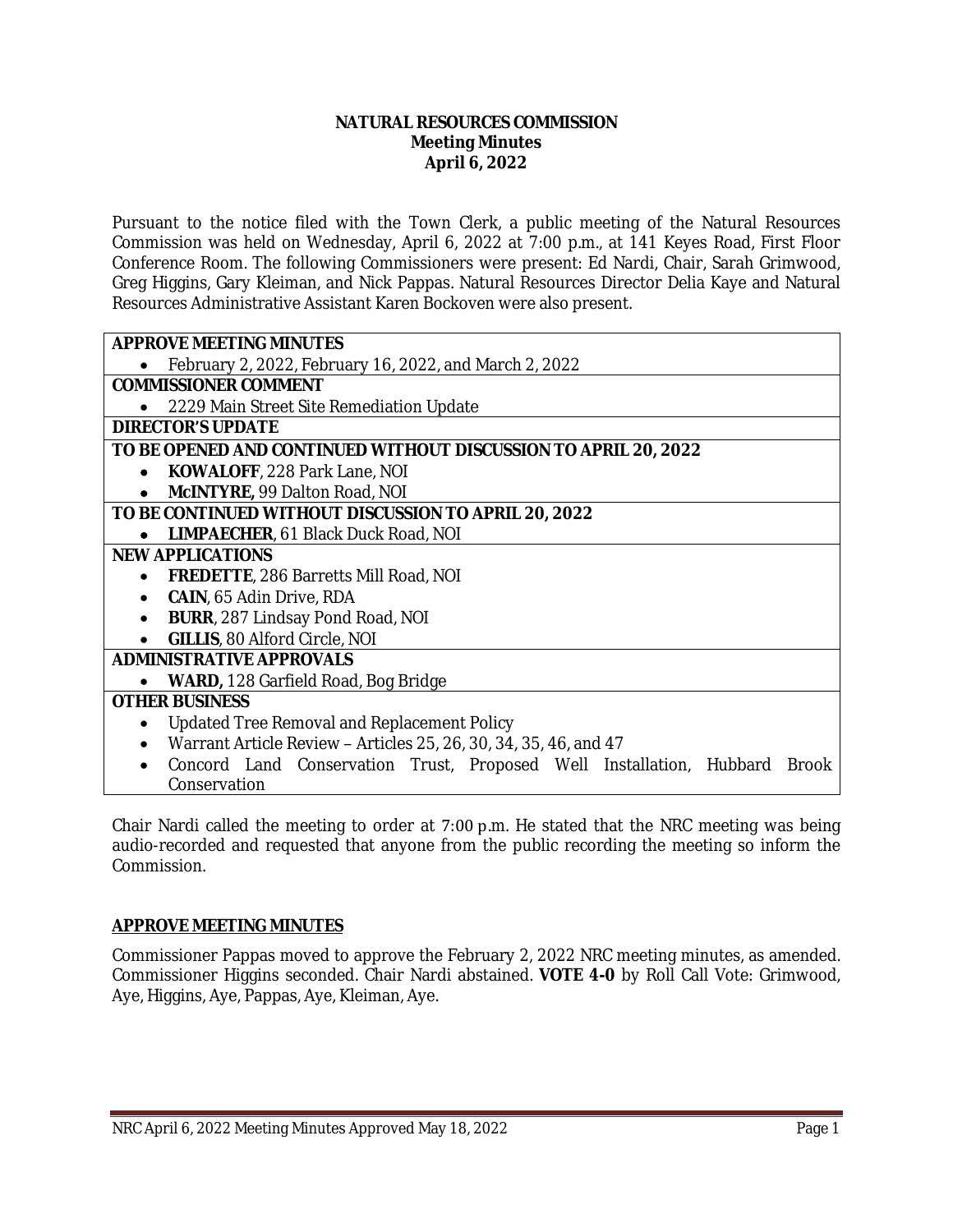#### **NATURAL RESOURCES COMMISSION Meeting Minutes April 6, 2022**

Pursuant to the notice filed with the Town Clerk, a public meeting of the Natural Resources Commission was held on Wednesday, April 6, 2022 at 7:00 p.m., at 141 Keyes Road, First Floor Conference Room. The following Commissioners were present: Ed Nardi, Chair, Sarah Grimwood, Greg Higgins, Gary Kleiman, and Nick Pappas. Natural Resources Director Delia Kaye and Natural Resources Administrative Assistant Karen Bockoven were also present.

| <b>APPROVE MEETING MINUTES</b>                                             |
|----------------------------------------------------------------------------|
| February 2, 2022, February 16, 2022, and March 2, 2022                     |
| <b>COMMISSIONER COMMENT</b>                                                |
| 2229 Main Street Site Remediation Update                                   |
| <b>DIRECTOR'S UPDATE</b>                                                   |
| TO BE OPENED AND CONTINUED WITHOUT DISCUSSION TO APRIL 20, 2022            |
| <b>KOWALOFF, 228 Park Lane, NOI</b><br>$\bullet$                           |
| McINTYRE, 99 Dalton Road, NOI                                              |
| TO BE CONTINUED WITHOUT DISCUSSION TO APRIL 20, 2022                       |
| LIMPAECHER, 61 Black Duck Road, NOI<br>$\bullet$                           |
| <b>NEW APPLICATIONS</b>                                                    |
| <b>FREDETTE, 286 Barretts Mill Road, NOI</b>                               |
| <b>CAIN, 65 Adin Drive, RDA</b><br>$\bullet$                               |
| <b>BURR</b> , 287 Lindsay Pond Road, NOI                                   |
| <b>GILLIS, 80 Alford Circle, NOI</b>                                       |
| <b>ADMINISTRATIVE APPROVALS</b>                                            |
| <b>WARD, 128 Garfield Road, Bog Bridge</b>                                 |
| <b>OTHER BUSINESS</b>                                                      |
| <b>Updated Tree Removal and Replacement Policy</b>                         |
| Warrant Article Review - Articles 25, 26, 30, 34, 35, 46, and 47           |
| Concord Land Conservation Trust, Proposed Well Installation, Hubbard Brook |
| Conservation                                                               |

Chair Nardi called the meeting to order at 7:00 p.m. He stated that the NRC meeting was being audio-recorded and requested that anyone from the public recording the meeting so inform the Commission.

#### **APPROVE MEETING MINUTES**

Commissioner Pappas moved to approve the February 2, 2022 NRC meeting minutes, as amended. Commissioner Higgins seconded. Chair Nardi abstained. **VOTE 4-0** by Roll Call Vote: Grimwood, Aye, Higgins, Aye, Pappas, Aye, Kleiman, Aye.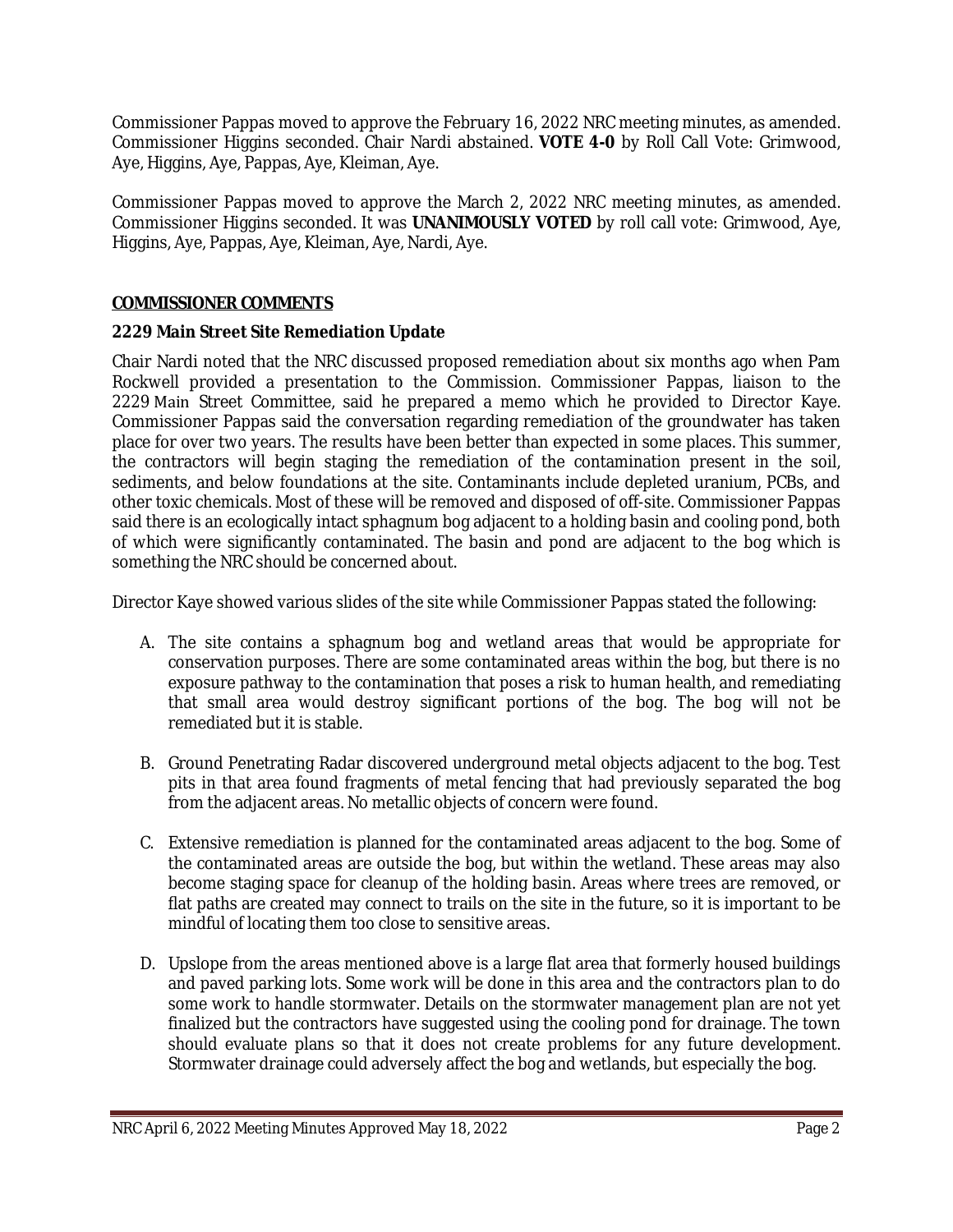Commissioner Pappas moved to approve the February 16, 2022 NRC meeting minutes, as amended. Commissioner Higgins seconded. Chair Nardi abstained. **VOTE 4-0** by Roll Call Vote: Grimwood, Aye, Higgins, Aye, Pappas, Aye, Kleiman, Aye.

Commissioner Pappas moved to approve the March 2, 2022 NRC meeting minutes, as amended. Commissioner Higgins seconded. It was **UNANIMOUSLY VOTED** by roll call vote: Grimwood, Aye, Higgins, Aye, Pappas, Aye, Kleiman, Aye, Nardi, Aye.

# **COMMISSIONER COMMENTS**

#### **2229 Main Street Site Remediation Update**

Chair Nardi noted that the NRC discussed proposed remediation about six months ago when Pam Rockwell provided a presentation to the Commission. Commissioner Pappas, liaison to the 2229 Main Street Committee, said he prepared a memo which he provided to Director Kaye. Commissioner Pappas said the conversation regarding remediation of the groundwater has taken place for over two years. The results have been better than expected in some places. This summer, the contractors will begin staging the remediation of the contamination present in the soil, sediments, and below foundations at the site. Contaminants include depleted uranium, PCBs, and other toxic chemicals. Most of these will be removed and disposed of off-site. Commissioner Pappas said there is an ecologically intact sphagnum bog adjacent to a holding basin and cooling pond, both of which were significantly contaminated. The basin and pond are adjacent to the bog which is something the NRC should be concerned about.

Director Kaye showed various slides of the site while Commissioner Pappas stated the following:

- A. The site contains a sphagnum bog and wetland areas that would be appropriate for conservation purposes. There are some contaminated areas within the bog, but there is no exposure pathway to the contamination that poses a risk to human health, and remediating that small area would destroy significant portions of the bog. The bog will not be remediated but it is stable.
- B. Ground Penetrating Radar discovered underground metal objects adjacent to the bog. Test pits in that area found fragments of metal fencing that had previously separated the bog from the adjacent areas. No metallic objects of concern were found.
- C. Extensive remediation is planned for the contaminated areas adjacent to the bog. Some of the contaminated areas are outside the bog, but within the wetland. These areas may also become staging space for cleanup of the holding basin. Areas where trees are removed, or flat paths are created may connect to trails on the site in the future, so it is important to be mindful of locating them too close to sensitive areas.
- D. Upslope from the areas mentioned above is a large flat area that formerly housed buildings and paved parking lots. Some work will be done in this area and the contractors plan to do some work to handle stormwater. Details on the stormwater management plan are not yet finalized but the contractors have suggested using the cooling pond for drainage. The town should evaluate plans so that it does not create problems for any future development. Stormwater drainage could adversely affect the bog and wetlands, but especially the bog.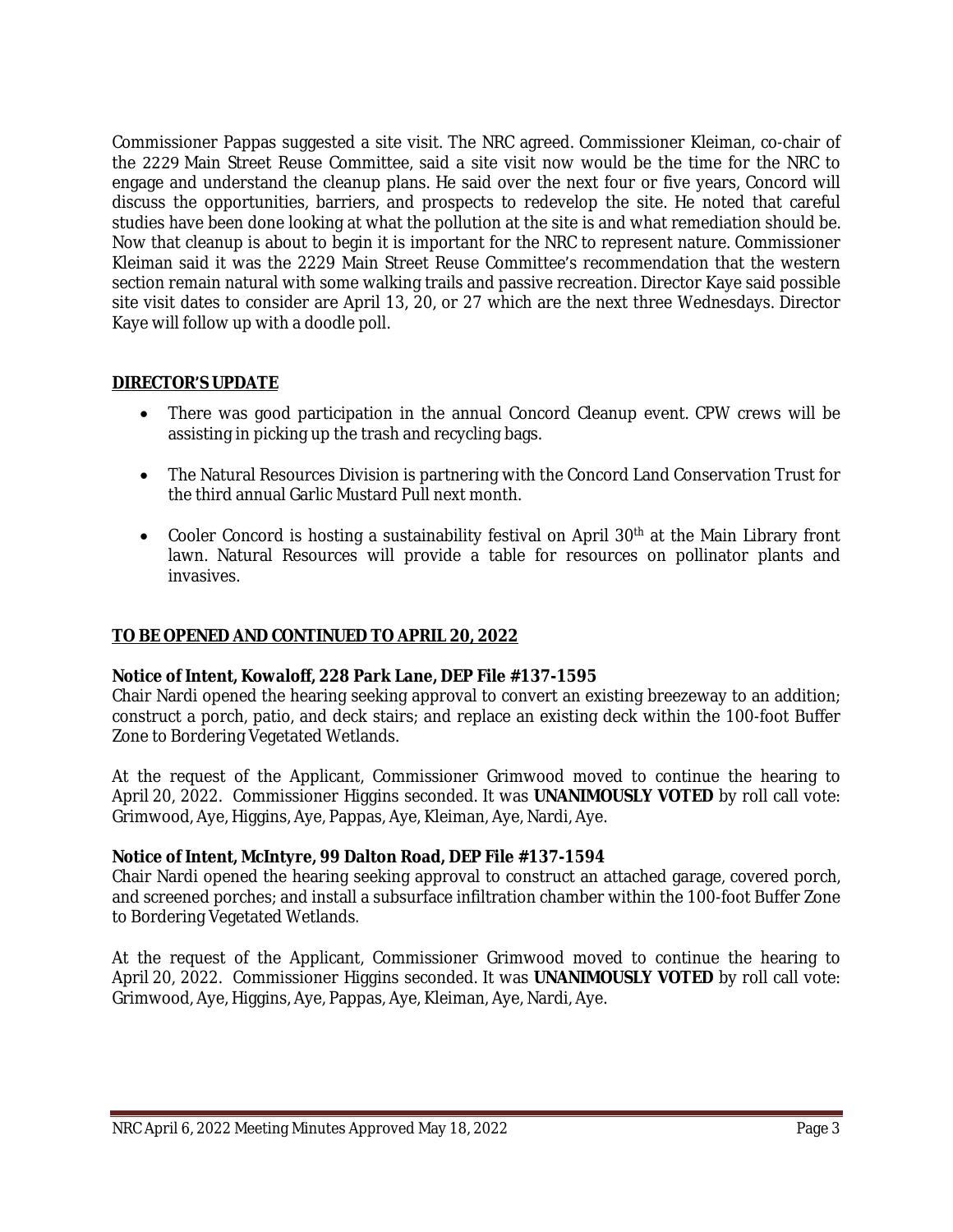Commissioner Pappas suggested a site visit. The NRC agreed. Commissioner Kleiman, co-chair of the 2229 Main Street Reuse Committee, said a site visit now would be the time for the NRC to engage and understand the cleanup plans. He said over the next four or five years, Concord will discuss the opportunities, barriers, and prospects to redevelop the site. He noted that careful studies have been done looking at what the pollution at the site is and what remediation should be. Now that cleanup is about to begin it is important for the NRC to represent nature. Commissioner Kleiman said it was the 2229 Main Street Reuse Committee's recommendation that the western section remain natural with some walking trails and passive recreation. Director Kaye said possible site visit dates to consider are April 13, 20, or 27 which are the next three Wednesdays. Director Kaye will follow up with a doodle poll.

# **DIRECTOR'S UPDATE**

- There was good participation in the annual Concord Cleanup event. CPW crews will be assisting in picking up the trash and recycling bags.
- The Natural Resources Division is partnering with the Concord Land Conservation Trust for the third annual Garlic Mustard Pull next month.
- Cooler Concord is hosting a sustainability festival on April  $30<sup>th</sup>$  at the Main Library front lawn. Natural Resources will provide a table for resources on pollinator plants and invasives.

#### **TO BE OPENED AND CONTINUED TO APRIL 20, 2022**

#### **Notice of Intent, Kowaloff, 228 Park Lane, DEP File #137-1595**

Chair Nardi opened the hearing seeking approval to convert an existing breezeway to an addition; construct a porch, patio, and deck stairs; and replace an existing deck within the 100-foot Buffer Zone to Bordering Vegetated Wetlands.

At the request of the Applicant, Commissioner Grimwood moved to continue the hearing to April 20, 2022. Commissioner Higgins seconded. It was **UNANIMOUSLY VOTED** by roll call vote: Grimwood, Aye, Higgins, Aye, Pappas, Aye, Kleiman, Aye, Nardi, Aye.

#### **Notice of Intent, McIntyre, 99 Dalton Road, DEP File #137-1594**

Chair Nardi opened the hearing seeking approval to construct an attached garage, covered porch, and screened porches; and install a subsurface infiltration chamber within the 100-foot Buffer Zone to Bordering Vegetated Wetlands.

At the request of the Applicant, Commissioner Grimwood moved to continue the hearing to April 20, 2022. Commissioner Higgins seconded. It was **UNANIMOUSLY VOTED** by roll call vote: Grimwood, Aye, Higgins, Aye, Pappas, Aye, Kleiman, Aye, Nardi, Aye.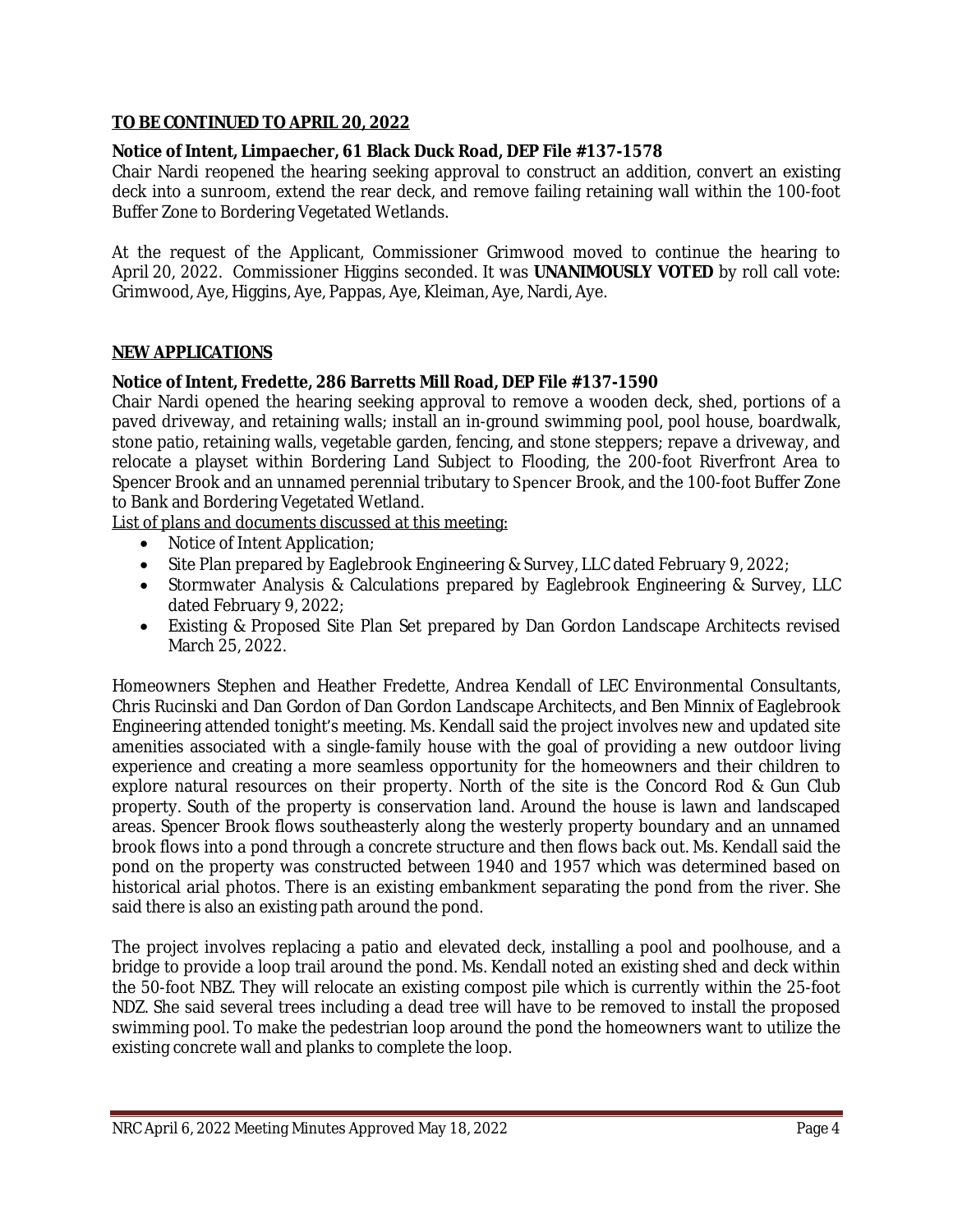## **TO BE CONTINUED TO APRIL 20, 2022**

# **Notice of Intent, Limpaecher, 61 Black Duck Road, DEP File #137-1578**

Chair Nardi reopened the hearing seeking approval to construct an addition, convert an existing deck into a sunroom, extend the rear deck, and remove failing retaining wall within the 100-foot Buffer Zone to Bordering Vegetated Wetlands.

At the request of the Applicant, Commissioner Grimwood moved to continue the hearing to April 20, 2022. Commissioner Higgins seconded. It was **UNANIMOUSLY VOTED** by roll call vote: Grimwood, Aye, Higgins, Aye, Pappas, Aye, Kleiman, Aye, Nardi, Aye.

# **NEW APPLICATIONS**

# **Notice of Intent, Fredette, 286 Barretts Mill Road, DEP File #137-1590**

Chair Nardi opened the hearing seeking approval to remove a wooden deck, shed, portions of a paved driveway, and retaining walls; install an in-ground swimming pool, pool house, boardwalk, stone patio, retaining walls, vegetable garden, fencing, and stone steppers; repave a driveway, and relocate a playset within Bordering Land Subject to Flooding, the 200-foot Riverfront Area to Spencer Brook and an unnamed perennial tributary to Spencer Brook, and the 100-foot Buffer Zone to Bank and Bordering Vegetated Wetland.

List of plans and documents discussed at this meeting:

- Notice of Intent Application;
- Site Plan prepared by Eaglebrook Engineering & Survey, LLC dated February 9, 2022;
- Stormwater Analysis & Calculations prepared by Eaglebrook Engineering & Survey, LLC dated February 9, 2022;
- Existing & Proposed Site Plan Set prepared by Dan Gordon Landscape Architects revised March 25, 2022.

Homeowners Stephen and Heather Fredette, Andrea Kendall of LEC Environmental Consultants, Chris Rucinski and Dan Gordon of Dan Gordon Landscape Architects, and Ben Minnix of Eaglebrook Engineering attended tonight's meeting. Ms. Kendall said the project involves new and updated site amenities associated with a single-family house with the goal of providing a new outdoor living experience and creating a more seamless opportunity for the homeowners and their children to explore natural resources on their property. North of the site is the Concord Rod & Gun Club property. South of the property is conservation land. Around the house is lawn and landscaped areas. Spencer Brook flows southeasterly along the westerly property boundary and an unnamed brook flows into a pond through a concrete structure and then flows back out. Ms. Kendall said the pond on the property was constructed between 1940 and 1957 which was determined based on historical arial photos. There is an existing embankment separating the pond from the river. She said there is also an existing path around the pond.

The project involves replacing a patio and elevated deck, installing a pool and poolhouse, and a bridge to provide a loop trail around the pond. Ms. Kendall noted an existing shed and deck within the 50-foot NBZ. They will relocate an existing compost pile which is currently within the 25-foot NDZ. She said several trees including a dead tree will have to be removed to install the proposed swimming pool. To make the pedestrian loop around the pond the homeowners want to utilize the existing concrete wall and planks to complete the loop.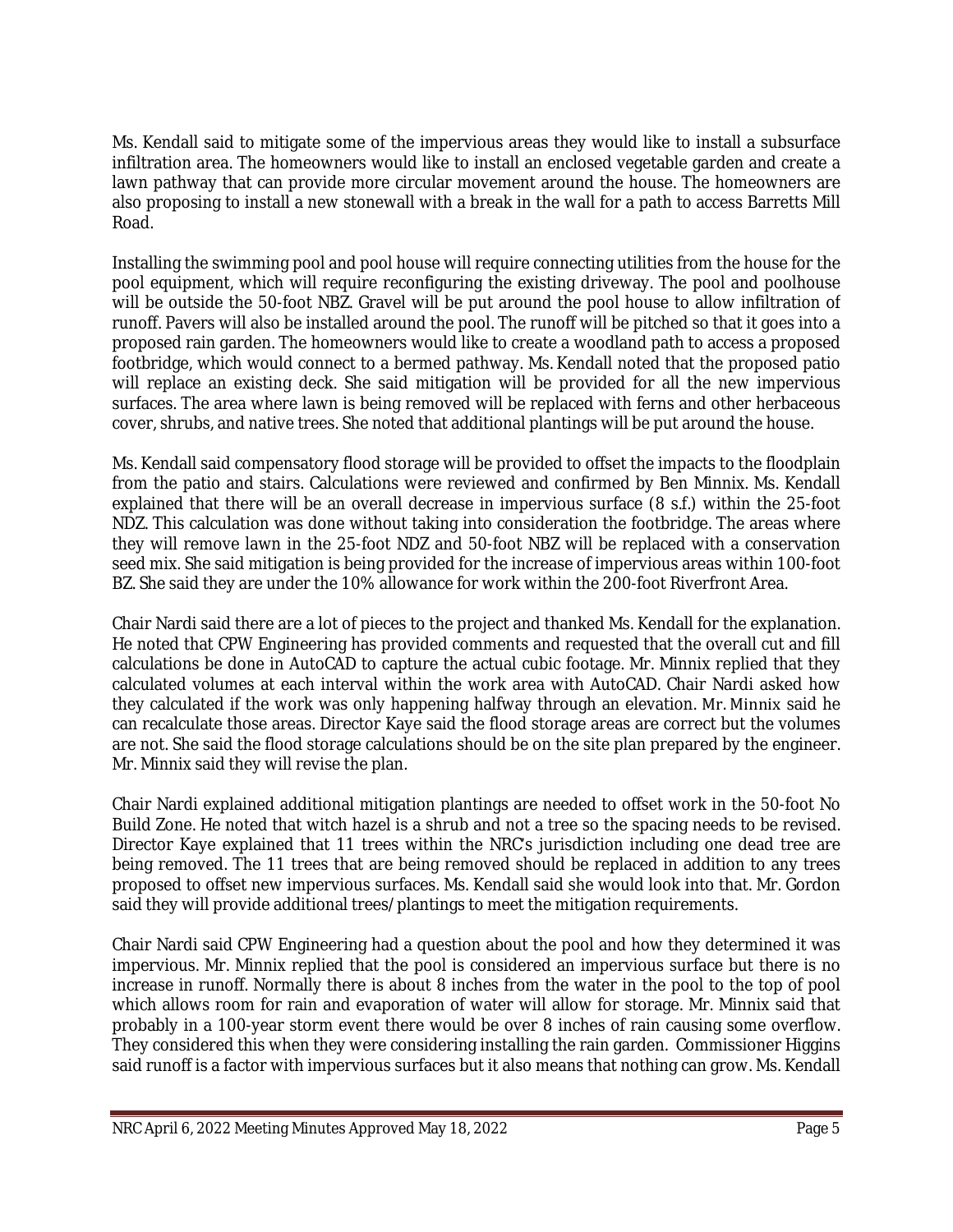Ms. Kendall said to mitigate some of the impervious areas they would like to install a subsurface infiltration area. The homeowners would like to install an enclosed vegetable garden and create a lawn pathway that can provide more circular movement around the house. The homeowners are also proposing to install a new stonewall with a break in the wall for a path to access Barretts Mill Road.

Installing the swimming pool and pool house will require connecting utilities from the house for the pool equipment, which will require reconfiguring the existing driveway. The pool and poolhouse will be outside the 50-foot NBZ. Gravel will be put around the pool house to allow infiltration of runoff. Pavers will also be installed around the pool. The runoff will be pitched so that it goes into a proposed rain garden. The homeowners would like to create a woodland path to access a proposed footbridge, which would connect to a bermed pathway. Ms. Kendall noted that the proposed patio will replace an existing deck. She said mitigation will be provided for all the new impervious surfaces. The area where lawn is being removed will be replaced with ferns and other herbaceous cover, shrubs, and native trees. She noted that additional plantings will be put around the house.

Ms. Kendall said compensatory flood storage will be provided to offset the impacts to the floodplain from the patio and stairs. Calculations were reviewed and confirmed by Ben Minnix. Ms. Kendall explained that there will be an overall decrease in impervious surface (8 s.f.) within the 25-foot NDZ. This calculation was done without taking into consideration the footbridge. The areas where they will remove lawn in the 25-foot NDZ and 50-foot NBZ will be replaced with a conservation seed mix. She said mitigation is being provided for the increase of impervious areas within 100-foot BZ. She said they are under the 10% allowance for work within the 200-foot Riverfront Area.

Chair Nardi said there are a lot of pieces to the project and thanked Ms. Kendall for the explanation. He noted that CPW Engineering has provided comments and requested that the overall cut and fill calculations be done in AutoCAD to capture the actual cubic footage. Mr. Minnix replied that they calculated volumes at each interval within the work area with AutoCAD. Chair Nardi asked how they calculated if the work was only happening halfway through an elevation. Mr. Minnix said he can recalculate those areas. Director Kaye said the flood storage areas are correct but the volumes are not. She said the flood storage calculations should be on the site plan prepared by the engineer. Mr. Minnix said they will revise the plan.

Chair Nardi explained additional mitigation plantings are needed to offset work in the 50-foot No Build Zone. He noted that witch hazel is a shrub and not a tree so the spacing needs to be revised. Director Kaye explained that 11 trees within the NRC's jurisdiction including one dead tree are being removed. The 11 trees that are being removed should be replaced in addition to any trees proposed to offset new impervious surfaces. Ms. Kendall said she would look into that. Mr. Gordon said they will provide additional trees/plantings to meet the mitigation requirements.

Chair Nardi said CPW Engineering had a question about the pool and how they determined it was impervious. Mr. Minnix replied that the pool is considered an impervious surface but there is no increase in runoff. Normally there is about 8 inches from the water in the pool to the top of pool which allows room for rain and evaporation of water will allow for storage. Mr. Minnix said that probably in a 100-year storm event there would be over 8 inches of rain causing some overflow. They considered this when they were considering installing the rain garden. Commissioner Higgins said runoff is a factor with impervious surfaces but it also means that nothing can grow. Ms. Kendall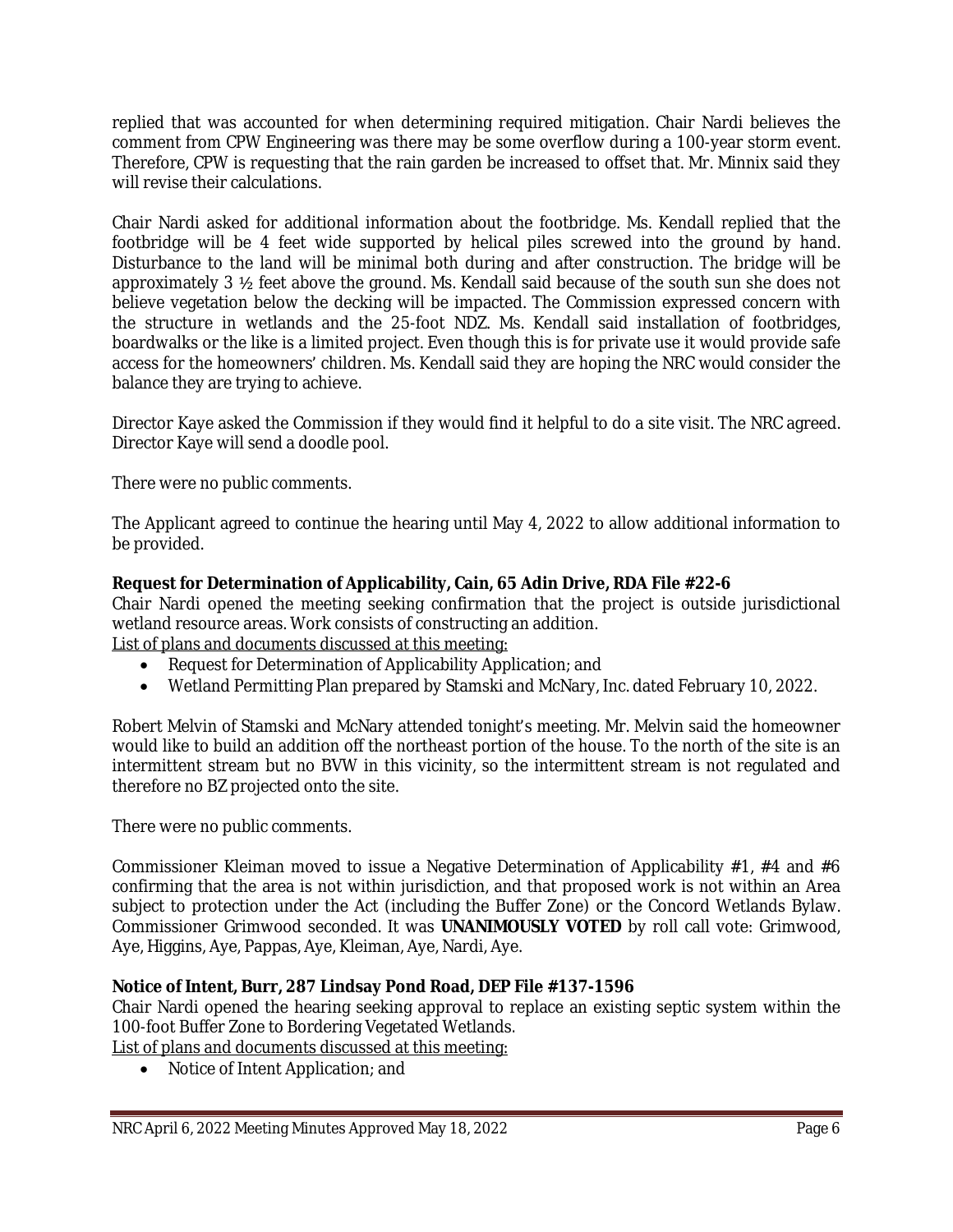replied that was accounted for when determining required mitigation. Chair Nardi believes the comment from CPW Engineering was there may be some overflow during a 100-year storm event. Therefore, CPW is requesting that the rain garden be increased to offset that. Mr. Minnix said they will revise their calculations.

Chair Nardi asked for additional information about the footbridge. Ms. Kendall replied that the footbridge will be 4 feet wide supported by helical piles screwed into the ground by hand. Disturbance to the land will be minimal both during and after construction. The bridge will be approximately 3 ½ feet above the ground. Ms. Kendall said because of the south sun she does not believe vegetation below the decking will be impacted. The Commission expressed concern with the structure in wetlands and the 25-foot NDZ. Ms. Kendall said installation of footbridges, boardwalks or the like is a limited project. Even though this is for private use it would provide safe access for the homeowners' children. Ms. Kendall said they are hoping the NRC would consider the balance they are trying to achieve.

Director Kaye asked the Commission if they would find it helpful to do a site visit. The NRC agreed. Director Kaye will send a doodle pool.

There were no public comments.

The Applicant agreed to continue the hearing until May 4, 2022 to allow additional information to be provided.

# **Request for Determination of Applicability, Cain, 65 Adin Drive, RDA File #22-6**

Chair Nardi opened the meeting seeking confirmation that the project is outside jurisdictional wetland resource areas. Work consists of constructing an addition.

List of plans and documents discussed at this meeting:

- Request for Determination of Applicability Application; and
- Wetland Permitting Plan prepared by Stamski and McNary, Inc. dated February 10, 2022.

Robert Melvin of Stamski and McNary attended tonight's meeting. Mr. Melvin said the homeowner would like to build an addition off the northeast portion of the house. To the north of the site is an intermittent stream but no BVW in this vicinity, so the intermittent stream is not regulated and therefore no BZ projected onto the site.

There were no public comments.

Commissioner Kleiman moved to issue a Negative Determination of Applicability  $#1, #4$  and  $#6$ confirming that the area is not within jurisdiction, and that proposed work is not within an Area subject to protection under the Act (including the Buffer Zone) or the Concord Wetlands Bylaw. Commissioner Grimwood seconded. It was **UNANIMOUSLY VOTED** by roll call vote: Grimwood, Aye, Higgins, Aye, Pappas, Aye, Kleiman, Aye, Nardi, Aye.

#### **Notice of Intent, Burr, 287 Lindsay Pond Road, DEP File #137-1596**

Chair Nardi opened the hearing seeking approval to replace an existing septic system within the 100-foot Buffer Zone to Bordering Vegetated Wetlands.

List of plans and documents discussed at this meeting:

• Notice of Intent Application; and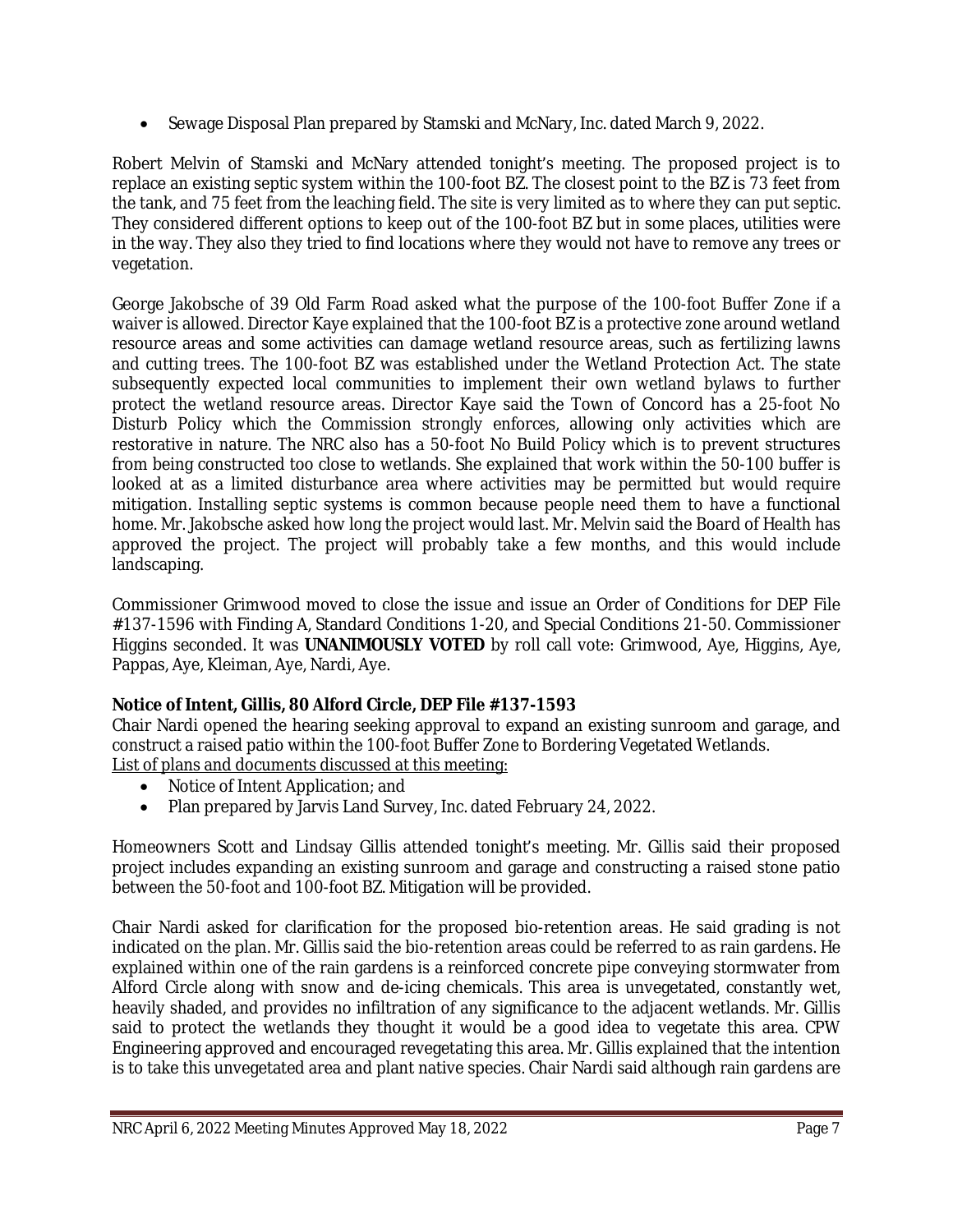• Sewage Disposal Plan prepared by Stamski and McNary, Inc. dated March 9, 2022.

Robert Melvin of Stamski and McNary attended tonight's meeting. The proposed project is to replace an existing septic system within the 100-foot BZ. The closest point to the BZ is 73 feet from the tank, and 75 feet from the leaching field. The site is very limited as to where they can put septic. They considered different options to keep out of the 100-foot BZ but in some places, utilities were in the way. They also they tried to find locations where they would not have to remove any trees or vegetation.

George Jakobsche of 39 Old Farm Road asked what the purpose of the 100-foot Buffer Zone if a waiver is allowed. Director Kaye explained that the 100-foot BZ is a protective zone around wetland resource areas and some activities can damage wetland resource areas, such as fertilizing lawns and cutting trees. The 100-foot BZ was established under the Wetland Protection Act. The state subsequently expected local communities to implement their own wetland bylaws to further protect the wetland resource areas. Director Kaye said the Town of Concord has a 25-foot No Disturb Policy which the Commission strongly enforces, allowing only activities which are restorative in nature. The NRC also has a 50-foot No Build Policy which is to prevent structures from being constructed too close to wetlands. She explained that work within the 50-100 buffer is looked at as a limited disturbance area where activities may be permitted but would require mitigation. Installing septic systems is common because people need them to have a functional home. Mr. Jakobsche asked how long the project would last. Mr. Melvin said the Board of Health has approved the project. The project will probably take a few months, and this would include landscaping.

Commissioner Grimwood moved to close the issue and issue an Order of Conditions for DEP File #137-1596 with Finding A, Standard Conditions 1-20, and Special Conditions 21-50. Commissioner Higgins seconded. It was **UNANIMOUSLY VOTED** by roll call vote: Grimwood, Aye, Higgins, Aye, Pappas, Aye, Kleiman, Aye, Nardi, Aye.

# **Notice of Intent, Gillis, 80 Alford Circle, DEP File #137-1593**

Chair Nardi opened the hearing seeking approval to expand an existing sunroom and garage, and construct a raised patio within the 100-foot Buffer Zone to Bordering Vegetated Wetlands. List of plans and documents discussed at this meeting:

- Notice of Intent Application; and
- Plan prepared by Jarvis Land Survey, Inc. dated February 24, 2022.

Homeowners Scott and Lindsay Gillis attended tonight's meeting. Mr. Gillis said their proposed project includes expanding an existing sunroom and garage and constructing a raised stone patio between the 50-foot and 100-foot BZ. Mitigation will be provided.

Chair Nardi asked for clarification for the proposed bio-retention areas. He said grading is not indicated on the plan. Mr. Gillis said the bio-retention areas could be referred to as rain gardens. He explained within one of the rain gardens is a reinforced concrete pipe conveying stormwater from Alford Circle along with snow and de-icing chemicals. This area is unvegetated, constantly wet, heavily shaded, and provides no infiltration of any significance to the adjacent wetlands. Mr. Gillis said to protect the wetlands they thought it would be a good idea to vegetate this area. CPW Engineering approved and encouraged revegetating this area. Mr. Gillis explained that the intention is to take this unvegetated area and plant native species. Chair Nardi said although rain gardens are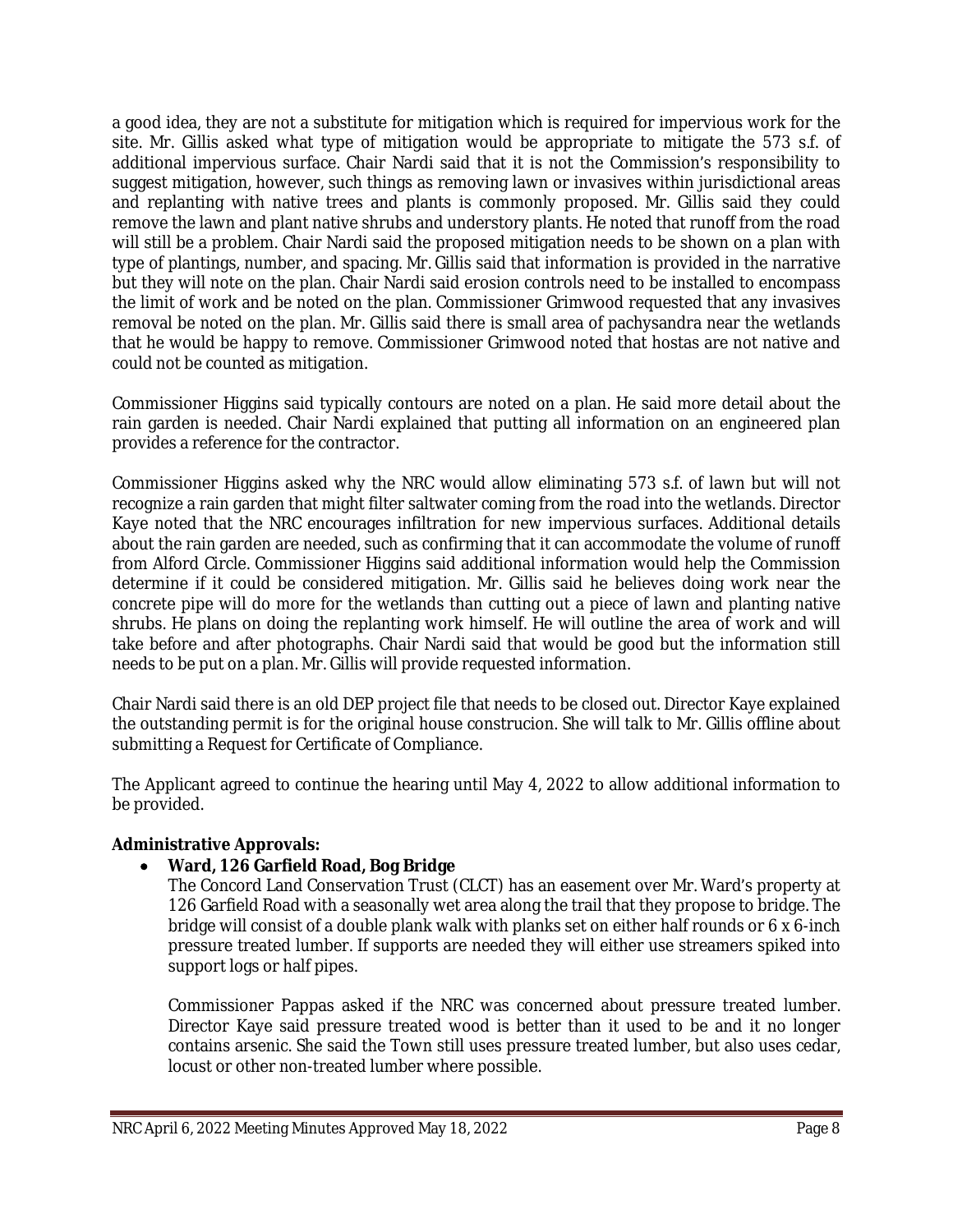a good idea, they are not a substitute for mitigation which is required for impervious work for the site. Mr. Gillis asked what type of mitigation would be appropriate to mitigate the 573 s.f. of additional impervious surface. Chair Nardi said that it is not the Commission's responsibility to suggest mitigation, however, such things as removing lawn or invasives within jurisdictional areas and replanting with native trees and plants is commonly proposed. Mr. Gillis said they could remove the lawn and plant native shrubs and understory plants. He noted that runoff from the road will still be a problem. Chair Nardi said the proposed mitigation needs to be shown on a plan with type of plantings, number, and spacing. Mr. Gillis said that information is provided in the narrative but they will note on the plan. Chair Nardi said erosion controls need to be installed to encompass the limit of work and be noted on the plan. Commissioner Grimwood requested that any invasives removal be noted on the plan. Mr. Gillis said there is small area of pachysandra near the wetlands that he would be happy to remove. Commissioner Grimwood noted that hostas are not native and could not be counted as mitigation.

Commissioner Higgins said typically contours are noted on a plan. He said more detail about the rain garden is needed. Chair Nardi explained that putting all information on an engineered plan provides a reference for the contractor.

Commissioner Higgins asked why the NRC would allow eliminating 573 s.f. of lawn but will not recognize a rain garden that might filter saltwater coming from the road into the wetlands. Director Kaye noted that the NRC encourages infiltration for new impervious surfaces. Additional details about the rain garden are needed, such as confirming that it can accommodate the volume of runoff from Alford Circle. Commissioner Higgins said additional information would help the Commission determine if it could be considered mitigation. Mr. Gillis said he believes doing work near the concrete pipe will do more for the wetlands than cutting out a piece of lawn and planting native shrubs. He plans on doing the replanting work himself. He will outline the area of work and will take before and after photographs. Chair Nardi said that would be good but the information still needs to be put on a plan. Mr. Gillis will provide requested information.

Chair Nardi said there is an old DEP project file that needs to be closed out. Director Kaye explained the outstanding permit is for the original house construcion. She will talk to Mr. Gillis offline about submitting a Request for Certificate of Compliance.

The Applicant agreed to continue the hearing until May 4, 2022 to allow additional information to be provided.

#### **Administrative Approvals:**

#### **Ward, 126 Garfield Road, Bog Bridge**

The Concord Land Conservation Trust (CLCT) has an easement over Mr. Ward's property at 126 Garfield Road with a seasonally wet area along the trail that they propose to bridge. The bridge will consist of a double plank walk with planks set on either half rounds or 6 x 6-inch pressure treated lumber. If supports are needed they will either use streamers spiked into support logs or half pipes.

Commissioner Pappas asked if the NRC was concerned about pressure treated lumber. Director Kaye said pressure treated wood is better than it used to be and it no longer contains arsenic. She said the Town still uses pressure treated lumber, but also uses cedar, locust or other non-treated lumber where possible.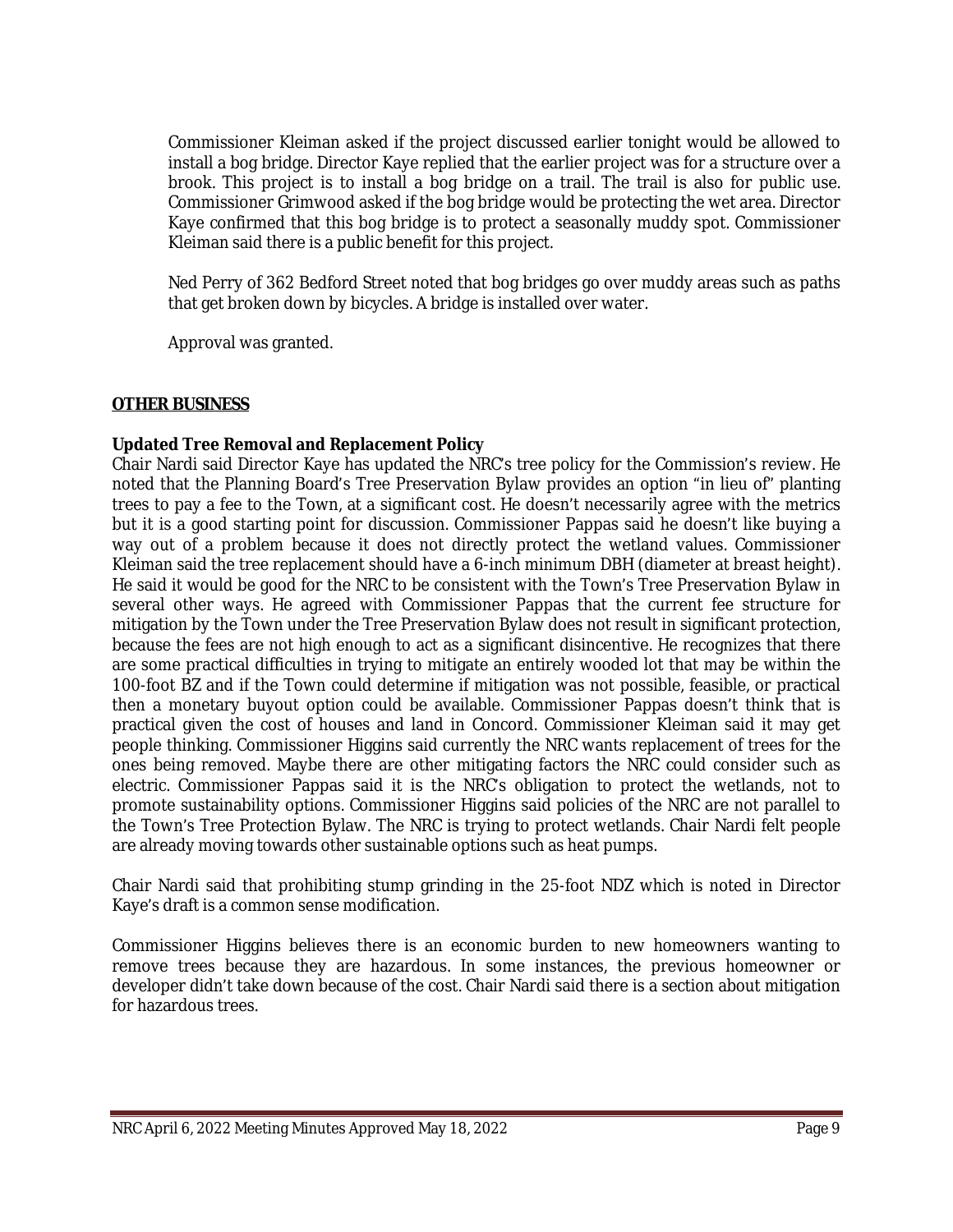Commissioner Kleiman asked if the project discussed earlier tonight would be allowed to install a bog bridge. Director Kaye replied that the earlier project was for a structure over a brook. This project is to install a bog bridge on a trail. The trail is also for public use. Commissioner Grimwood asked if the bog bridge would be protecting the wet area. Director Kaye confirmed that this bog bridge is to protect a seasonally muddy spot. Commissioner Kleiman said there is a public benefit for this project.

Ned Perry of 362 Bedford Street noted that bog bridges go over muddy areas such as paths that get broken down by bicycles. A bridge is installed over water.

Approval was granted.

#### **OTHER BUSINESS**

#### **Updated Tree Removal and Replacement Policy**

Chair Nardi said Director Kaye has updated the NRC's tree policy for the Commission's review. He noted that the Planning Board's Tree Preservation Bylaw provides an option "in lieu of" planting trees to pay a fee to the Town, at a significant cost. He doesn't necessarily agree with the metrics but it is a good starting point for discussion. Commissioner Pappas said he doesn't like buying a way out of a problem because it does not directly protect the wetland values. Commissioner Kleiman said the tree replacement should have a 6-inch minimum DBH (diameter at breast height). He said it would be good for the NRC to be consistent with the Town's Tree Preservation Bylaw in several other ways. He agreed with Commissioner Pappas that the current fee structure for mitigation by the Town under the Tree Preservation Bylaw does not result in significant protection, because the fees are not high enough to act as a significant disincentive. He recognizes that there are some practical difficulties in trying to mitigate an entirely wooded lot that may be within the 100-foot BZ and if the Town could determine if mitigation was not possible, feasible, or practical then a monetary buyout option could be available. Commissioner Pappas doesn't think that is practical given the cost of houses and land in Concord. Commissioner Kleiman said it may get people thinking. Commissioner Higgins said currently the NRC wants replacement of trees for the ones being removed. Maybe there are other mitigating factors the NRC could consider such as electric. Commissioner Pappas said it is the NRC's obligation to protect the wetlands, not to promote sustainability options. Commissioner Higgins said policies of the NRC are not parallel to the Town's Tree Protection Bylaw. The NRC is trying to protect wetlands. Chair Nardi felt people are already moving towards other sustainable options such as heat pumps.

Chair Nardi said that prohibiting stump grinding in the 25-foot NDZ which is noted in Director Kaye's draft is a common sense modification.

Commissioner Higgins believes there is an economic burden to new homeowners wanting to remove trees because they are hazardous. In some instances, the previous homeowner or developer didn't take down because of the cost. Chair Nardi said there is a section about mitigation for hazardous trees.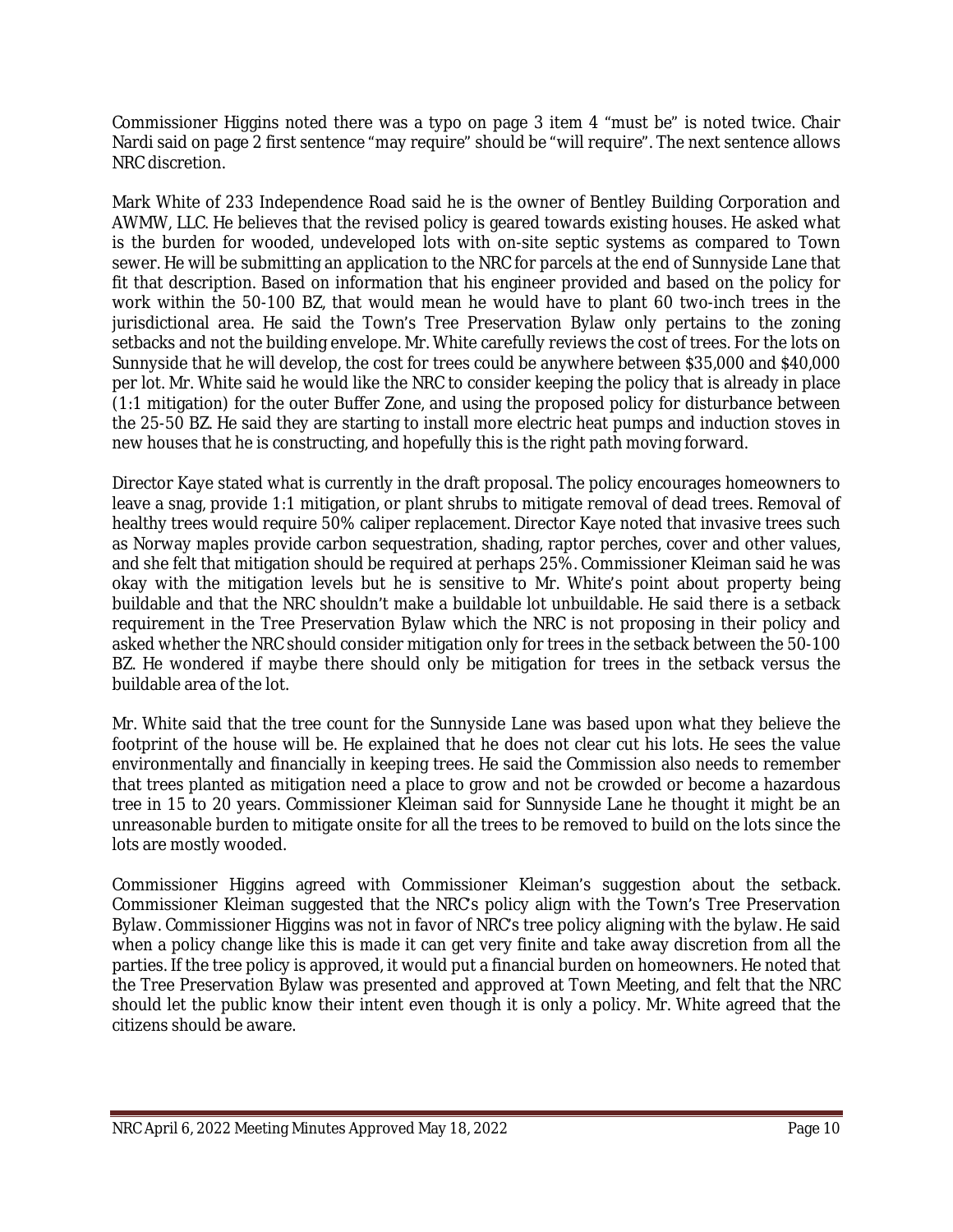Commissioner Higgins noted there was a typo on page 3 item 4 "must be" is noted twice. Chair Nardi said on page 2 first sentence "may require" should be "will require". The next sentence allows NRC discretion.

Mark White of 233 Independence Road said he is the owner of Bentley Building Corporation and AWMW, LLC. He believes that the revised policy is geared towards existing houses. He asked what is the burden for wooded, undeveloped lots with on-site septic systems as compared to Town sewer. He will be submitting an application to the NRC for parcels at the end of Sunnyside Lane that fit that description. Based on information that his engineer provided and based on the policy for work within the 50-100 BZ, that would mean he would have to plant 60 two-inch trees in the jurisdictional area. He said the Town's Tree Preservation Bylaw only pertains to the zoning setbacks and not the building envelope. Mr. White carefully reviews the cost of trees. For the lots on Sunnyside that he will develop, the cost for trees could be anywhere between \$35,000 and \$40,000 per lot. Mr. White said he would like the NRC to consider keeping the policy that is already in place (1:1 mitigation) for the outer Buffer Zone, and using the proposed policy for disturbance between the 25-50 BZ. He said they are starting to install more electric heat pumps and induction stoves in new houses that he is constructing, and hopefully this is the right path moving forward.

Director Kaye stated what is currently in the draft proposal. The policy encourages homeowners to leave a snag, provide 1:1 mitigation, or plant shrubs to mitigate removal of dead trees. Removal of healthy trees would require 50% caliper replacement. Director Kaye noted that invasive trees such as Norway maples provide carbon sequestration, shading, raptor perches, cover and other values, and she felt that mitigation should be required at perhaps 25%. Commissioner Kleiman said he was okay with the mitigation levels but he is sensitive to Mr. White's point about property being buildable and that the NRC shouldn't make a buildable lot unbuildable. He said there is a setback requirement in the Tree Preservation Bylaw which the NRC is not proposing in their policy and asked whether the NRC should consider mitigation only for trees in the setback between the 50-100 BZ. He wondered if maybe there should only be mitigation for trees in the setback versus the buildable area of the lot.

Mr. White said that the tree count for the Sunnyside Lane was based upon what they believe the footprint of the house will be. He explained that he does not clear cut his lots. He sees the value environmentally and financially in keeping trees. He said the Commission also needs to remember that trees planted as mitigation need a place to grow and not be crowded or become a hazardous tree in 15 to 20 years. Commissioner Kleiman said for Sunnyside Lane he thought it might be an unreasonable burden to mitigate onsite for all the trees to be removed to build on the lots since the lots are mostly wooded.

Commissioner Higgins agreed with Commissioner Kleiman's suggestion about the setback. Commissioner Kleiman suggested that the NRC's policy align with the Town's Tree Preservation Bylaw. Commissioner Higgins was not in favor of NRC's tree policy aligning with the bylaw. He said when a policy change like this is made it can get very finite and take away discretion from all the parties. If the tree policy is approved, it would put a financial burden on homeowners. He noted that the Tree Preservation Bylaw was presented and approved at Town Meeting, and felt that the NRC should let the public know their intent even though it is only a policy. Mr. White agreed that the citizens should be aware.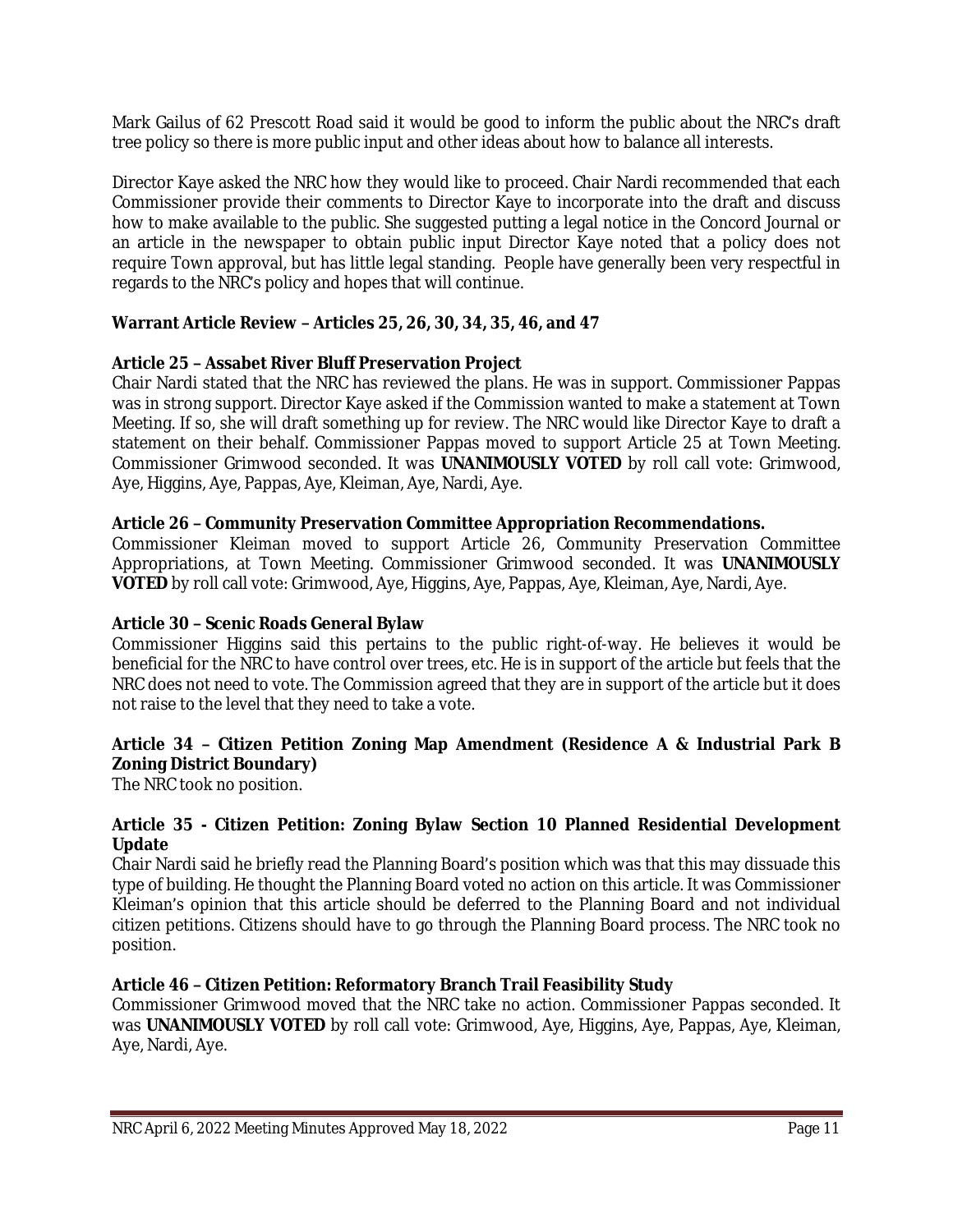Mark Gailus of 62 Prescott Road said it would be good to inform the public about the NRC's draft tree policy so there is more public input and other ideas about how to balance all interests.

Director Kaye asked the NRC how they would like to proceed. Chair Nardi recommended that each Commissioner provide their comments to Director Kaye to incorporate into the draft and discuss how to make available to the public. She suggested putting a legal notice in the Concord Journal or an article in the newspaper to obtain public input Director Kaye noted that a policy does not require Town approval, but has little legal standing. People have generally been very respectful in regards to the NRC's policy and hopes that will continue.

# **Warrant Article Review – Articles 25, 26, 30, 34, 35, 46, and 47**

#### **Article 25 – Assabet River Bluff Preservation Project**

Chair Nardi stated that the NRC has reviewed the plans. He was in support. Commissioner Pappas was in strong support. Director Kaye asked if the Commission wanted to make a statement at Town Meeting. If so, she will draft something up for review. The NRC would like Director Kaye to draft a statement on their behalf. Commissioner Pappas moved to support Article 25 at Town Meeting. Commissioner Grimwood seconded. It was **UNANIMOUSLY VOTED** by roll call vote: Grimwood, Aye, Higgins, Aye, Pappas, Aye, Kleiman, Aye, Nardi, Aye.

#### **Article 26 – Community Preservation Committee Appropriation Recommendations.**

Commissioner Kleiman moved to support Article 26, Community Preservation Committee Appropriations, at Town Meeting. Commissioner Grimwood seconded. It was **UNANIMOUSLY VOTED** by roll call vote: Grimwood, Aye, Higgins, Aye, Pappas, Aye, Kleiman, Aye, Nardi, Aye.

## **Article 30 – Scenic Roads General Bylaw**

Commissioner Higgins said this pertains to the public right-of-way. He believes it would be beneficial for the NRC to have control over trees, etc. He is in support of the article but feels that the NRC does not need to vote. The Commission agreed that they are in support of the article but it does not raise to the level that they need to take a vote.

# **Article 34 – Citizen Petition Zoning Map Amendment (Residence A & Industrial Park B Zoning District Boundary)**

The NRC took no position.

#### **Article 35 - Citizen Petition: Zoning Bylaw Section 10 Planned Residential Development Update**

Chair Nardi said he briefly read the Planning Board's position which was that this may dissuade this type of building. He thought the Planning Board voted no action on this article. It was Commissioner Kleiman's opinion that this article should be deferred to the Planning Board and not individual citizen petitions. Citizens should have to go through the Planning Board process. The NRC took no position.

## **Article 46 – Citizen Petition: Reformatory Branch Trail Feasibility Study**

Commissioner Grimwood moved that the NRC take no action. Commissioner Pappas seconded. It was **UNANIMOUSLY VOTED** by roll call vote: Grimwood, Aye, Higgins, Aye, Pappas, Aye, Kleiman, Aye, Nardi, Aye.